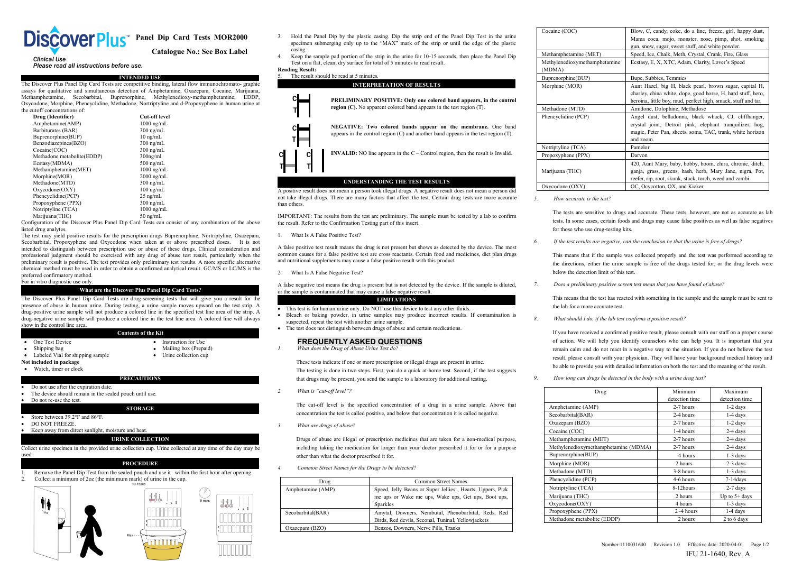

**Panel Dip Card Tests MOR2000**<br> **Panel Dip Card Tests MOR2000**<br> **Catalogue No.: See Box Label**<br> **Pacel Merget All Crimes and the Panel E**<br> **Pacel Merget All Crimes Reading Result:** 

**PLACE PLACE PLACE READ**<br> **Please read all instructions before use.**<br> **IPlease read all instructions before use.**<br> **IPLEASE PRESS ACE DOM**<br> **IPPLEASE PRESS ACE INTENDED USE**<br>
Siscover Plus Panel Dip Card Tests are competit COVCIPIC PLUS Panel Dip Card Tests MOR2000 3. Hold the Panel I specime submer<br>
Clinical Use<br>
Please read all instructions before use.<br>
The Discover Plus Panel Dip Card Tests are competitive binding, lateral flow immunochro **EXECTS PUS TRANDED CONTRANDED CONTRANDED CONTRANDED USE**<br> **CATALOGUSE CONTRANDED USE**<br> **CATALOGUSE CONTRANDED USE**<br>
The Discover Plus Panel Dip Card Tests are competitive binding, lateral flow immunochromato- graphic<br>
The **EXECTIONS CONCLES**<br>
Citalogue No.: See Box Label specimen submer<br>
Cital Use<br>
Please read all instructions before use.<br>
The Discover Plus Panel Dip Card Tests are competitive binding, lateral flow immunochromato- graphic<br> COVCT PUS TRINING CONCRET (COVET PUS TRINING) CONTROLL CHE CHANGE CONTROLL CHANGE CHANGE CHANGE CHANGE CHANGE CHANGE CHANGE CHANGE CHANGE CHANGE CHANGE CHANGE CHANGE CHANGE CHANGE CHANGE CHANGE CHANGE CHANGE CHANGE CHANGE

| <b>Discover Plus</b>                     | Panel Dip Card Tests MOR2000                                                                                 | 3.<br>Hold the Panel Dip<br>specimen submerging          |
|------------------------------------------|--------------------------------------------------------------------------------------------------------------|----------------------------------------------------------|
|                                          | <b>Catalogue No.: See Box Label</b>                                                                          | casing.                                                  |
| <b>Clinical Use</b>                      |                                                                                                              | Keep the sample pad<br>$\overline{4}$                    |
| Please read all instructions before use. |                                                                                                              | Test on a flat, clean, d                                 |
|                                          |                                                                                                              | <b>Reading Result:</b>                                   |
|                                          | INTENDED USE                                                                                                 | The result should be r<br>5.                             |
|                                          | The Discover Plus Panel Dip Card Tests are competitive binding, lateral flow immunochromato-graphic          |                                                          |
|                                          | assays for qualitative and simultaneous detection of Amphetamine, Oxazepam, Cocaine, Marijuana,              |                                                          |
| Methamphetamine,<br>Secobarbital,        | Buprenorphine, Methylenedioxy-methamphetamine,<br>EDDP.                                                      | PRI                                                      |
|                                          | Oxycodone, Morphine, Phencyclidine, Methadone, Nortriptyline and d-Propoxyphene in human urine at            |                                                          |
| the cutoff concentrations of             |                                                                                                              | regi                                                     |
| Drug (Identifier)                        | <b>Cut-off level</b>                                                                                         |                                                          |
| Amphetamine(AMP)                         | $1000$ ng/mL                                                                                                 | NE <sup>®</sup>                                          |
| Barbiturates (BAR)                       | $300$ ng/mL                                                                                                  |                                                          |
| Buprenorphine(BUP)                       | $10 \text{ ng/mL}$                                                                                           | appe<br>Т                                                |
| Benzodiazepines(BZO)                     | $300 \text{ ng/mL}$                                                                                          |                                                          |
| Cocaine(COC)                             | $300$ ng/mL                                                                                                  | <b>INV</b>                                               |
| Methadone metabolite(EDDP)               | $300$ ng/ml                                                                                                  |                                                          |
| Ecstasy(MDMA)                            | $500$ ng/mL                                                                                                  |                                                          |
| Methamphetamine(MET)                     | $1000$ ng/mL                                                                                                 |                                                          |
| Morphine(MOR)                            | $2000$ ng/mL                                                                                                 |                                                          |
| Methadone(MTD)                           | $300$ ng/mL                                                                                                  |                                                          |
| Oxycodone(OXY)                           | $100$ ng/mL                                                                                                  | A positive result does not n                             |
| Phencyclidine(PCP)                       | $25$ ng/mL                                                                                                   | not take illegal drugs. The                              |
| Propoxyphene (PPX)                       | $300$ ng/mL                                                                                                  | than others.                                             |
| Notriptyline (TCA)                       | $1000$ ng/mL                                                                                                 |                                                          |
| Marijuana(THC)                           | $50$ ng/mL                                                                                                   | <b>IMPORTANT:</b> The results                            |
|                                          | Configuration of the Discover Plus Panel Dip Card Tests can consist of any combination of the above          | the result. Refer to the Conf                            |
| listed drug analytes.                    |                                                                                                              |                                                          |
|                                          | The test may yield positive results for the prescription drugs Buprenorphine, Nortriptyline, Oxazepam,       | What Is A False Posit<br>1.                              |
|                                          | Secobarbital, Propoxyphene and Oxycodone when taken at or above prescribed doses.<br>It is not               |                                                          |
|                                          | intended to distinguish between prescription use or abuse of these drugs. Clinical consideration and         | A false positive test result a                           |
|                                          | professional judgment should be exercised with any drug of abuse test result, particularly when the          | common causes for a false<br>and nutritional supplements |
|                                          | preliminary result is positive. The test provides only preliminary test results. A more specific alternative |                                                          |
|                                          | chemical method must be used in order to obtain a confirmed analytical result. GC/MS or LC/MS is the         |                                                          |

**Example to distinguish between prescription** use of these drugs. Clinical consideration considers the prescription of the above or abuse of these drugs. The results of the Distortation of the Discover Plus Panel Dip Card Morphine (MOR)<br>
Morphine (MOR) 3000 ng/mL<br>
Morphine (MOR) 3000 ng/mL<br>
Droxycodone (OTXY) 100 ng/mL<br>
Phencyclidine (PPY) 25 ng/mL<br>
Not take illegal drugs. Ther<br>
Propayphene (PPX) 3000 ng/mL<br>
Morphine (TCA) 1000 ng/mL<br>
Mari method (MTD)<br>
Dong/mL<br>
Dong/mL<br>
Prelencyclidine(PCP) 25 ng/mL<br>
Prelencyclidine(PCP) 25 ng/mL<br>
Montipusar (FCA) 300 ng/mL<br>
Montipusar mot take illegal drug<br>
Montipusar mot take illegal drug<br>
Montipusar mot take illegal drug Chemical method (OXY) and the must be used in order to obtain a confirmed analytical result. Configuration of the Discover Plus Panel Dip Card Tests can consist of any combination of the above the result. Netriptyline (TC **Examplement COMP**<br>
Phencyclidine (PCP)<br>
Propoxyphene (PPX)<br>
Propoxyphene (PPX)<br>
25 ng/mL<br>
Propoxyphene (PPX)<br>
Mortiplytine (TCA)<br>
Marijuana (THC)<br>
Configuration of the Discover Plus Panel Dip Card Tests can<br>
Interd due an From System (PPX)<br>
The Propoxyphene (PPX)<br>
The Propoxyphene (PPX)<br>
Notriptyline (TCA)<br>
1000 ng/mL<br>
Morripurant (THC)<br>
Configuration of the Discover Plus Panel Dip Card Tests can c<br>
listed drug analytes.<br>
In test may yield 1000 ng/mL<br>
200 ng/mL<br>
200 ng/mL<br>
200 ng/mL<br>
200 ng/mL<br>
200 ng/mL<br>
200 ng/mC<br>
200 ng/mL<br>
200 ng/mL<br>
200 ng/mL<br>
200 ng/mL<br>
200 ng/mL<br>
200 ng/mL<br>
200 ng/mL<br>
200 ng/mL<br>
200 ng/mL<br>
200 ng/menophine, Nortriptyline, Oxazepam,<br>
2 Maryuana (HHC)<br>
Configuration of the Discover Plus Panel Dip Card Tests can consist of any combination of the above<br>
listed drug analytes.<br>
Interest may yield positive results for the prescription drugs Buprenopphine, Nort Contention of the Discover Plus Panel Dip Card Tests can consist of any combination of the above<br>
The test may yield positive results for the prescription drugs Buprenophine, Nortriptyline, Oxazepam, 1. What Is A False Pos In the content of the presence of a buse in human urine. During testing, a urine sample moves preservibed does. It is not see the set must a professional independent of distinguish between preserviption use or a buse of t The test may yield positive results for the prescription drugs Burenorphine, Nortripyline, Oxazepam, The est colored line in the sample of the sample of the sample of the sample of the sample of the sample of the sample of Secolaritical, Propoxyphene and Oxycodone when taken at or above prescribed doses. It is not the interded to distinguish between prescription use or abuse of these drugs. Clinical consideration and professional judgment sh

Labeled Via for shipping sample tot included in package<br>
Label for shipping sample of the Collection cup of the collection of the collection of the collection cup of the Collection cup of the Collection cup of the Collecti For in vitro diagnostic use only.<br> **Notative Concept The Concept Plus Panel Dip Card Tests?**<br>
The Discover Plus Panel Dip Card Tests are drug-screening tests that will give you<br>
of the Discover Plus Panel Dip Card Tests ar **DOM NOTE AFTER EXPIRED ATTAGE AFTER A CONTROLLARE AFTER A CONTROLLARE AFTER A CONTROLLARE AFTER A CONTROLLARE A CONTROLLARE A CONTROLLARE A CONTROLLARE A CONTROLLARE A CONTROLLARE A CONTROLLARE A CONTROLLARE A CONTROLLARE** 

- 
- 
- 
- 

- 
- 
- 

- 
- 
- 

# Store between 39.2°F and 86°F.<br>
Storehold die package<br>
Storehold die package<br>
Storehold in package<br>
Storehold and actes<br>
Do not use after the expiration date.<br>
The device should remain in the sealed pouch until use.<br>
Do no

**Collect urine specimen in the provided urine sealed pouch and use in the first hour after opening.**<br> **Collect urine specimen in the provided urine collection cup. Urine collected at any time of the day may be used.<br>
<b>PROC** 





- **Catalogue No.: See Box Label**<br> **Catalogue No.: See Box Label**<br> **Catalogue No.: See Box Label**<br> **Catalogue No.: See Box Label**<br> **CALADEL**<br> **CALADEL**<br> **CALADEL**<br> **CALADEL**<br> **CALADEL**<br> **CALADELL**<br> **CALADELL**<br> **CALADELL**<br> **CA** 3. Hold the Panel Dip by the plastic casing. Dip the strip end of the Panel Dip Test in the urine<br>specimen submerging only up to the "MAX" mark of the strip or until the edge of the plastic<br>4. Keep the sample pad portion Specimen submerging only up to the strip condition of the Panel Dip Test in the urine<br>specimen submerging only up to the "MAX" mark of the strip or until the edge of the plastic<br>easing.<br>Test on a flat, elean, dry surface f casing.<br>Keep the sample pad portion of the strip in the urine for 10-15 seconds, then place the Panel Dip 4. Keep the sample pad portion of the strip in the strip end of the Panel Dip Test in the urine specimen submerging only up to the "MAX" mark of the strip or until the edge of the plastic casing.<br>
4. Keep the sample pad po Test of the Panel Dip by the plastic casing. Dip the strip end of the Panel Dip Test in the urine specimen submerging only up to the "MAX" mark of the strip or until the edge of the plastic Keep the sample pad portion of t
	-



**COPTECT THE TEST RESULTS**<br>
A positive result does not mean a person took illegal drugs. A negative result does not mean a person did<br>
oxycodone (OXY)<br>
not take illegal drugs. There are many factors that affect the test. C **EXPERIMENT ANDING THE TEST RESULTS**<br>A positive result does not mean a person took illegal drugs. A negative result does not mean a person did<br>not take illegal drugs. There are many factors that affect the test. Certain dr A positive result does not mean a person took illegal drugs. A negative<br>not take illegal drugs. There are many factors that affect the test. Ce<br>than others.<br>IMPORTANT: The results from the test are preliminary. The sample<br> A false negative test means the drug is present but is not detected by the device. If the sample is diluted,<br>
A false positive test means the drug is not present but shows as detected by the device. The most<br>
A false posit IMPORTANT: The results from the test are preliminary. The sample must be tested by a lab to conte result. Refer to the Confirmation Testing part of this insert.<br>
1. What Is A False Positive Test?<br>
2. A false positive test This means that is for human urine only. To the state of a research or the sample of a research is a state to the the device to test are cross reactants. Certain food and medicines, diet plan drugs this means that if the A false positive test result means the drug is not present but shows as detected by the device. The most common causes for a false positive test are cross reactants. Certain food and medicines, diet plan drugs and nutritio

- 
- 
- 

These tests indicate if one or more prescription or illegal drugs are present in urine.<br>The state of the state of the state of the state of the state of the state of the state of the state of the state of the state of the 2. What Is A False Negative Test?<br> **1.** A false negative test means the drug is present but is not detected by the device. If the sort and the Drug of Abuse and Sulfond Test of the Sulfond Chemen of This test is for human megative test means the drug is present but is not detected by the device. If the sample is diluted,<br>
The is contaminated that may cause a false negative result.<br> **IMITATIONS** The test is for human urine only. Do NOT use t Example is contaminated that my cause a false negative result.<br>
The test is for human urine only. Do NOT use this device to test any other fluids.<br>
the lab for a members of a business may produce incorrect results. If con **EXAMPLATIONS**<br>
that is for human urine only. Do NOT use this device to test any other fluids.<br>
that drugs powder, in urine samples may produce incorrect results. If contamination is<br>
ected, repeat the test with another u • This test is for human urine only. Do NOT use this device to Bleach or baking powder, in urine samples may produce suspected, repeat the test with another urine sample.<br>
• The test does not distinguish between drugs of a Exacted, repeat the test with another urine sample.<br>
test does not distinguish between drugs of abuse and certain medications.<br>
FREQUENTLY ASKED QUESTIONS<br>
The cut-off action. We will<br>
from the set also a puck at-home tes concentration the test is called positive, and below that concentration is called negative.<br>
These tests indicate if one or more prescription or illegal drugs are present in urine.<br>
The testing is done in two steps. First, *3. What does the Drug of Abuse Urine Test do?*<br>*2. What does the Drug of Abuse Urine Test do?*<br>These tests indicate if one or more prescription or illegal C<br>The testing is done in two steps. First, you do a quick at<br>that

These tests indicate if one or more prescription or illegal drugs are present in urine.<br>
The testing is done in two steps. First, you do a quick at-home test. Second, if the test suggests<br>
that drugs may be present, you s First, exercise than the mediation for the mediation for the mediation of a duck at-home test. Second, if the test suggests<br>
that drugs may be present, you send the sample to a laboratory for additional testing.<br>
What is " The testing is other if the steps. Thist, you do a quick at nonferoust. Second, that drugs may be present, you send the sample to a laboratory for additional to What is "cut-off level"?<br>The cut-off level is the specified c *4. Common Street Names for the Drugs to be detected?*<br> **4. Common Street American** American Street Inc. Common Street Names for the Drugs of abuse are illegal or prescription medicines that are taken for a non-monicluding

|                  |                                                   | The cut-off level is the specified concentration of a drug in a urine sample. Above that       | Amphetamine (A   |
|------------------|---------------------------------------------------|------------------------------------------------------------------------------------------------|------------------|
|                  |                                                   | concentration the test is called positive, and below that concentration it is called negative. | Secobarbital(BA  |
| 3.               | What are drugs of abuse?                          |                                                                                                | Oxazepam (BZC    |
|                  |                                                   |                                                                                                | Cocaine (COC)    |
|                  |                                                   | Drugs of abuse are illegal or prescription medicines that are taken for a non-medical purpose, | Methamphetami    |
|                  |                                                   | including taking the medication for longer than your doctor prescribed it for or for a purpose | Methylenedioxy   |
|                  | other than what the doctor prescribed it for.     |                                                                                                | Buprenorphine(I  |
|                  |                                                   |                                                                                                | Morphine (MOR    |
| $\overline{4}$ . | Common Street Names for the Drugs to be detected? |                                                                                                | Methadone (MT    |
|                  | Drug                                              | Common Street Names                                                                            | Phencyclidine (F |
|                  | Amphetamine (AMP)                                 | Speed, Jelly Beans or Super Jellies, Hearts, Uppers, Pick                                      | Notriptyline (TC |
|                  |                                                   | me ups or Wake me ups, Wake ups, Get ups, Boot ups,                                            | Marijuana (THC   |
|                  |                                                   | <b>Sparkles</b>                                                                                | Oxycodone(OX'    |
|                  | Secobarbital(BAR)                                 | Amytal, Downers, Nembutal, Phenobarbital, Reds, Red                                            | Propoxyphene (I  |
|                  |                                                   | Birds, Red devils, Seconal, Tuninal, Yellowjackets                                             | Methadone meta   |
|                  | $Ox$ azepam $(BZO)$                               | Benzos, Downers, Nerve Pills, Tranks                                                           |                  |
|                  |                                                   |                                                                                                |                  |
|                  |                                                   |                                                                                                |                  |
|                  |                                                   |                                                                                                |                  |

| Cocaine (COC)                           | Blow, C, candy, coke, do a line, freeze, girl, happy dust,                                                                                                                                  |
|-----------------------------------------|---------------------------------------------------------------------------------------------------------------------------------------------------------------------------------------------|
|                                         | Mama coca, mojo, monster, nose, pimp, shot, smoking                                                                                                                                         |
|                                         | gun, snow, sugar, sweet stuff, and white powder.                                                                                                                                            |
| Methamphetamine (MET)                   | Speed, Ice, Chalk, Meth, Crystal, Crank, Fire, Glass                                                                                                                                        |
| Methylenedioxymethamphetamine<br>(MDMA) | Ecstasy, E, X, XTC, Adam, Clarity, Lover's Speed                                                                                                                                            |
| Buprenorphine(BUP)                      | Bupe, Subbies, Temmies                                                                                                                                                                      |
| Morphine (MOR)                          | Aunt Hazel, big H, black pearl, brown sugar, capital H,<br>charley, china white, dope, good horse, H, hard stuff, hero,<br>heroina, little boy, mud, perfect high, smack, stuff and tar.    |
| Methadone (MTD)                         | Amidone, Dolophine, Methadose                                                                                                                                                               |
| Phencyclidine (PCP)                     | Angel dust, belladonna, black whack, CJ, cliffhanger,<br>crystal joint, Detroit pink, elephant tranquilizer, hog,<br>magic, Peter Pan, sheets, soma, TAC, trank, white horizon<br>and zoom. |
| Notriptyline (TCA)                      | Pamelor                                                                                                                                                                                     |
| Propoxyphene (PPX)                      | Darvon                                                                                                                                                                                      |
| Marijuana (THC)                         | 420, Aunt Mary, baby, bobby, boom, chira, chronic, ditch,<br>ganja, grass, greens, hash, herb, Mary Jane, nigra, Pot,<br>reefer, rip, root, skunk, stack, torch, weed and zambi.            |
| Oxycodone (OXY)                         | OC, Ocycotton, OX, and Kicker                                                                                                                                                               |
| How accurate is the test?               |                                                                                                                                                                                             |
|                                         | The tests are sensitive to drugs and accurate. These tests, however, are not as accurate as lab                                                                                             |
|                                         | tests. In some cases, certain foods and drugs may cause false positives as well as false negatives                                                                                          |
| for those who use drug-testing kits.    |                                                                                                                                                                                             |
|                                         | If the test results are negative, can the conclusion be that the urine is free of drugs?                                                                                                    |
|                                         |                                                                                                                                                                                             |

the directions, either directions, either the urine sample.<br>
S. How accurate is the test?<br>
The tests are sensitive to drugs and accurate. These tests, however, are not as accurate as lab<br>
tests. In some cases, certain food

Figure 1983, given that it receptors and the sample was collected properly and the sample was collected properly and the sample was collected properly and the test was performed according to the test results are negative t This means are strained with some that the test has reacted with some tests. In some cases, certain foods and drugs may cause false positives as well as false negatives for those who use drug-testing kits.<br> *If the test re* the lab for a more cast and the lab test. *8. What should I do, if the last confirms a positives as went as also head for those who use drug-testing kits.<br>
<i>If the test results are negative, can the conclusion be that the* 

This means that if the sample was collected properly and the test was performed according to<br>the directions, either the urine sample is free of the drugs tested for, or the drug levels were<br>below the detection limit of thi This means uat it us sample was concluded property and the lost was performed according to<br>the directions, either the urine sample is free of the drugs tested for, or the drug levels were<br>below the detection limit of this remain calm and the test and and do not react in a negative way to the situation. If you do not believe the situation imit of this test.<br> *Poes a preliminary positive screen test mean that you have found of abuse?*<br>
This m *Does a preliminary positive screen test mean that you have found of abuse?*<br>This means that the test has reacted with something in the sample and the sample must be sent to<br>the lab for a more accurate test.<br>What should I Does a preliminary positive screen test mean that you have found of abuse?<br>
This means that the test has reacted with something in the sample and the sample must be sent to<br>
the lab for a more accurate test.<br>
What should I This means that the test has reacted with something in the sample and the sample must be sent to<br>the lab for a more accurate test.<br> *8.*<br> *What should I do. if the lab test confirms a positive result?*<br>
If you have receive *examplesive result?*<br>
Hease consult with our staff on a proper course<br>
who can help you. It is important that you<br>
o the situation. If you do not believe the test<br>
ill have your background medical history and<br>
both the t

| If you have received a confirmed positive result, please consult with our staff on a proper course<br>of action. We will help you identify counselors who can help you. It is important that you<br>remain calm and do not react in a negative way to the situation. If you do not believe the test<br>result, please consult with your physician. They will have your background medical history and<br>be able to provide you with detailed information on both the test and the meaning of the result.<br>How long can drugs be detected in the body with a urine drug test? |                |                 |
|---------------------------------------------------------------------------------------------------------------------------------------------------------------------------------------------------------------------------------------------------------------------------------------------------------------------------------------------------------------------------------------------------------------------------------------------------------------------------------------------------------------------------------------------------------------------------------|----------------|-----------------|
| Drug                                                                                                                                                                                                                                                                                                                                                                                                                                                                                                                                                                            | Minimum        | Maximum         |
|                                                                                                                                                                                                                                                                                                                                                                                                                                                                                                                                                                                 | detection time | detection time  |
| Amphetamine (AMP)                                                                                                                                                                                                                                                                                                                                                                                                                                                                                                                                                               | 2-7 hours      | $1-2$ days      |
| Secobarbital(BAR)                                                                                                                                                                                                                                                                                                                                                                                                                                                                                                                                                               | 2-4 hours      | $1-4$ days      |
| Oxazepam (BZO)                                                                                                                                                                                                                                                                                                                                                                                                                                                                                                                                                                  | 2-7 hours      | $1-2$ days      |
| Cocaine (COC)                                                                                                                                                                                                                                                                                                                                                                                                                                                                                                                                                                   | 1-4 hours      | 2-4 days        |
| Methamphetamine (MET)                                                                                                                                                                                                                                                                                                                                                                                                                                                                                                                                                           | 2-7 hours      | 2-4 days        |
| Methylenedioxymethamphetamine (MDMA)                                                                                                                                                                                                                                                                                                                                                                                                                                                                                                                                            | 2-7 hours      | 2-4 days        |
| Buprenorphine(BUP)                                                                                                                                                                                                                                                                                                                                                                                                                                                                                                                                                              | 4 hours        | $1-3$ days      |
| Morphine (MOR)                                                                                                                                                                                                                                                                                                                                                                                                                                                                                                                                                                  | 2 hours        | $2-3$ days      |
| Methadone (MTD)                                                                                                                                                                                                                                                                                                                                                                                                                                                                                                                                                                 | 3-8 hours      | 1-3 days        |
| Phencyclidine (PCP)                                                                                                                                                                                                                                                                                                                                                                                                                                                                                                                                                             | 4-6 hours      | $7-14$ days     |
| Notriptyline (TCA)                                                                                                                                                                                                                                                                                                                                                                                                                                                                                                                                                              | 8-12hours      | $2-7$ days      |
| Marijuana (THC)                                                                                                                                                                                                                                                                                                                                                                                                                                                                                                                                                                 | 2 hours        | Up to $5+$ days |
| Oxycodone(OXY)                                                                                                                                                                                                                                                                                                                                                                                                                                                                                                                                                                  | 4 hours        | $1-3$ days      |
| Propoxyphene (PPX)                                                                                                                                                                                                                                                                                                                                                                                                                                                                                                                                                              | $2 - 4$ hours  | 1-4 days        |
| Methadone metabolite (EDDP)                                                                                                                                                                                                                                                                                                                                                                                                                                                                                                                                                     | 2 hours        | 2 to 6 days     |